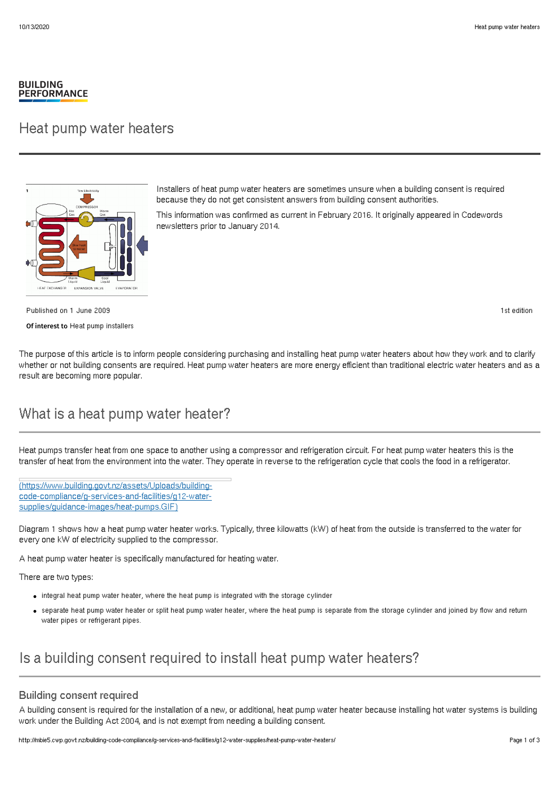#### **BUILDING PERFORMANCE**

### Heat pump water heaters



Installers of heat pump water heaters are sometimes unsure when a building consent is required because they do not get consistent answers from building consent authorities.

This information was confirmed as current in February 2016. It originally appeared in Codewords newsletters prior to January 2014.

Published on 1 June 2009 Of interest to Heat pump installers 1st edition

The purpose of this article is to inform people considering purchasing and installing heat pump water heaters about how they work and to clarify whether or not building consents are required. Heat pump water heaters are more energy efficient than traditional electric water heaters and as a result are becoming more popular.

# What is a heat pump water heater?

Heat pumps transfer heat from one space to another using a compressor and refrigeration circuit. For heat pump water heaters this is the transfer of heat from the environment into the water. They operate in reverse to the refrigeration cycle that cools the food in a refrigerator.

[\(https://www.building.govt.nz/assets/Uploads/building](http://mbie5.cwp.govt.nz/assets/Uploads/building-code-compliance/g-services-and-facilities/g12-water-supplies/guidance-images/heat-pumps.GIF)code-compliance/g-services-and-facilities/g12-watersupplies/guidance-images/heat-pumps.GIF)

Diagram 1 shows how a heat pump water heater works. Typically, three kilowatts (kW) of heat from the outside is transferred to the water for every one kW of electricity supplied to the compressor.

A heat pump water heater is specifically manufactured for heating water.

There are two types:

- $\bullet$  integral heat pump water heater, where the heat pump is integrated with the storage cylinder
- separate heat pump water heater or split heat pump water heater, where the heat pump is separate from the storage cylinder and joined by flow and return water pipes or refrigerant pipes.

# Is a building consent required to install heat pump water heaters?

### Building consent required

A building consent is required for the installation of a new, or additional, heat pump water heater because installing hot water systems is building work under the Building Act 2004, and is not exempt from needing a building consent.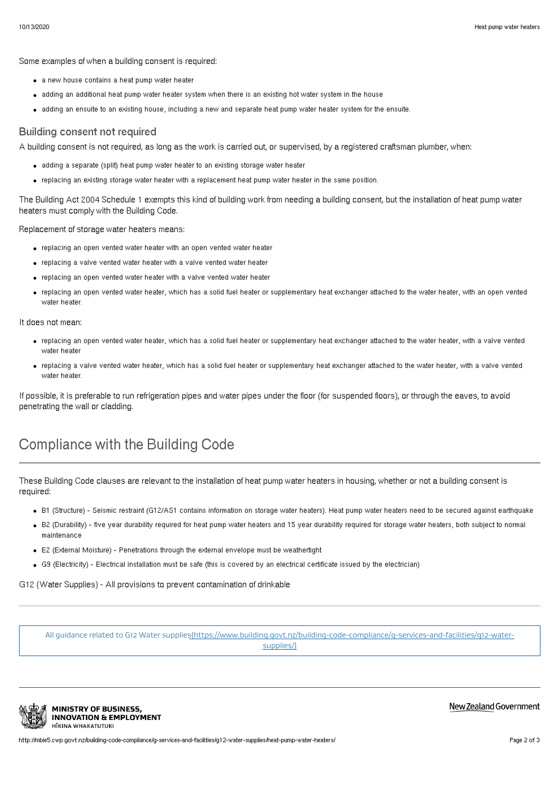Some examples of when a building consent is required:

- a new house contains a heat pump water heater
- adding an additional heat pump water heater system when there is an existing hot water system in the house
- adding an ensuite to an existing house, including a new and separate heat pump water heater system for the ensuite.

### Building consent not required

A building consent is not required, as long as the work is carried out, or supervised, by a registered craftsman plumber, when:

- adding a separate (split) heat pump water heater to an existing storage water heater
- replacing an existing storage water heater with a replacement heat pump water heater in the same position.

The Building Act 2004 Schedule 1 exempts this kind of building work from needing a building consent, but the installation of heat pump water heaters must comply with the Building Code.

Replacement of storage water heaters means:

- replacing an open vented water heater with an open vented water heater
- replacing a valve vented water heater with a valve vented water heater
- replacing an open vented water heater with a valve vented water heater
- replacing an open vented water heater, which has a solid fuel heater or supplementary heat exchanger attached to the water heater, with an open vented water heater.

It does not mean:

- replacing an open vented water heater, which has a solid fuel heater or supplementary heat exchanger attached to the water heater, with a valve vented water heater
- replacing a valve vented water heater, which has a solid fuel heater or supplementary heat exchanger attached to the water heater, with a valve vented water heater.

If possible, it is preferable to run refrigeration pipes and water pipes under the floor (for suspended floors), or through the eaves, to avoid penetrating the wall or cladding.

# Compliance with the Building Code

These Building Code clauses are relevant to the installation of heat pump water heaters in housing, whether or not a building consent is required:

- B1 (Structure) Seismic restraint (G12/AS1 contains information on storage water heaters). Heat pump water heaters need to be secured against earthquake
- B2 (Durability) five year durability required for heat pump water heaters and 15 year durability required for storage water heaters, both subject to normal maintenance
- E2 (External Moisture) Penetrations through the external envelope must be weathertight
- G9 (Electricity) Electrical installation must be safe (this is covered by an electrical certificate issued by the electrician)

G12 (Water Supplies) - All provisions to prevent contamination of drinkable

All guidance related to G12 Water [supplies\(https://www.building.govt.nz/building-code-compliance/g-services-and-facilities/g12-water](http://mbie5.cwp.govt.nz/building-code-compliance/g-services-and-facilities/g12-water-supplies/)supplies/)



**MINISTRY OF BUSINESS. INNOVATION & EMPLOYMENT** HĪKINA WHAKATUTUKI

#### New Zealand Government